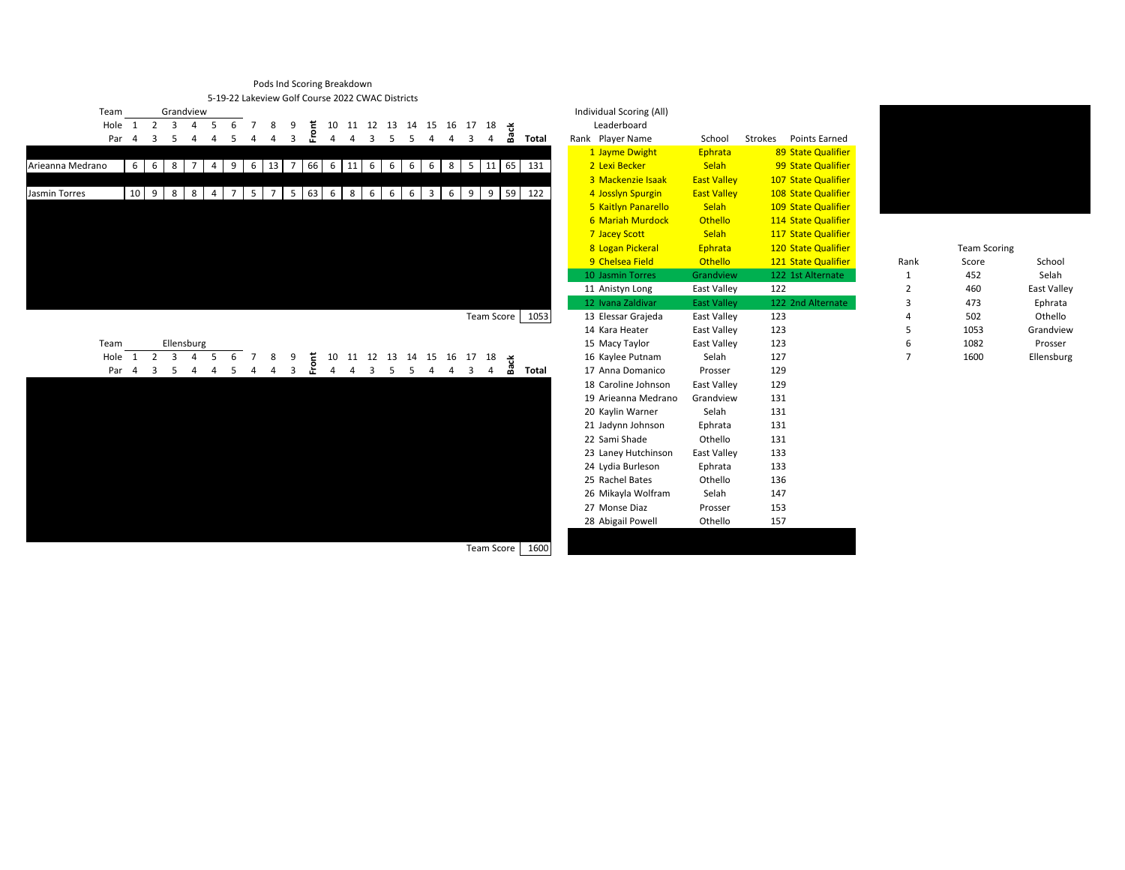## Pods Ind Scoring Breakdown 5-19-22 Lakeview Golf Course 2022 CWAC Districts



|                  |                  | Par 4 3 5   |             |     | $\overline{4}$ |                | 4 5 4               | 4              | $\overline{\mathbf{3}}$ | 운          | 4              |                                          | 4 3 5 5                 |                 |    | -4             | $\overline{4}$ | $\overline{\mathbf{3}}$ | 4              | å. | Total |  | Rank Player Name        | School             | <b>Points Earned</b><br>Strokes |                |                     |                    |
|------------------|------------------|-------------|-------------|-----|----------------|----------------|---------------------|----------------|-------------------------|------------|----------------|------------------------------------------|-------------------------|-----------------|----|----------------|----------------|-------------------------|----------------|----|-------|--|-------------------------|--------------------|---------------------------------|----------------|---------------------|--------------------|
|                  |                  |             |             |     |                |                |                     |                |                         |            |                |                                          |                         |                 |    |                |                |                         |                |    |       |  | 1 Jayme Dwight          | Ephrata            | 89 State Qualifier              |                |                     |                    |
| Arieanna Medrano |                  | $6 \quad 6$ |             | 8   | $\overline{7}$ | $4 \mid 9$     |                     | 13<br>6        | $\overline{7}$          | 66         |                | $6 \quad 11 \quad 6$                     |                         | 6               | 6  |                | 6 8 5 11 65    |                         |                |    | 131   |  | 2 Lexi Becker           | Selah              | 99 State Qualifier              |                |                     |                    |
|                  |                  |             |             |     |                |                |                     |                |                         |            |                |                                          |                         |                 |    |                |                |                         |                |    |       |  | 3 Mackenzie Isaak       | <b>East Valley</b> | 107 State Qualifier             |                |                     |                    |
| Jasmin Torres    |                  | 10 9        |             | 8 8 |                | 4 7            | 5 <sub>1</sub>      | $\overline{7}$ |                         | 5 63 6 8 6 |                |                                          |                         | $6\overline{6}$ | 6  | 3 <sup>1</sup> | 6              | 9   9   59              |                |    | 122   |  | 4 Josslyn Spurgin       | <b>East Valley</b> | 108 State Qualifier             |                |                     |                    |
|                  |                  |             |             |     |                |                |                     |                |                         |            |                |                                          |                         |                 |    |                |                |                         |                |    |       |  | 5 Kaitlyn Panarello     | Selah              | 109 State Qualifier             |                |                     |                    |
|                  |                  |             |             |     |                |                |                     |                |                         |            |                |                                          |                         |                 |    |                |                |                         |                |    |       |  | <b>6 Mariah Murdock</b> | <b>Othello</b>     | 114 State Qualifier             |                |                     |                    |
|                  |                  |             |             |     |                |                |                     |                |                         |            |                |                                          |                         |                 |    |                |                |                         |                |    |       |  | 7 Jacey Scott           | Selah              | 117 State Qualifier             |                |                     |                    |
|                  |                  |             |             |     |                |                |                     |                |                         |            |                |                                          |                         |                 |    |                |                |                         |                |    |       |  | 8 Logan Pickeral        | Ephrata            | 120 State Qualifier             |                | <b>Team Scoring</b> |                    |
|                  |                  |             |             |     |                |                |                     |                |                         |            |                |                                          |                         |                 |    |                |                |                         |                |    |       |  | 9 Chelsea Field         | Othello            | 121 State Qualifier             | Rank           | Score               | School             |
|                  |                  |             |             |     |                |                |                     |                |                         |            |                |                                          |                         |                 |    |                |                |                         |                |    |       |  | 10 Jasmin Torres        | Grandview          | 122 1st Alternate               | 1              | 452                 | Selah              |
|                  |                  |             |             |     |                |                |                     |                |                         |            |                |                                          |                         |                 |    |                |                |                         |                |    |       |  | 11 Anistyn Long         | East Valley        | 122                             | 2              | 460                 | <b>East Valley</b> |
|                  |                  |             |             |     |                |                |                     |                |                         |            |                |                                          |                         |                 |    |                |                |                         |                |    |       |  | 12 Ivana Zaldivar       | <b>East Valley</b> | 122 2nd Alternate               | 3              | 473                 | Ephrata            |
|                  |                  |             |             |     |                |                |                     |                |                         |            |                |                                          |                         |                 |    |                |                | <b>Team Score</b>       |                |    | 1053  |  | 13 Elessar Grajeda      | East Valley        | 123                             | 4              | 502                 | Othello            |
|                  |                  |             |             |     |                |                |                     |                |                         |            |                |                                          |                         |                 |    |                |                |                         |                |    |       |  | 14 Kara Heater          | East Valley        | 123                             | 5              | 1053                | Grandview          |
|                  | Team             |             |             |     | Ellensburg     |                |                     |                |                         |            |                |                                          |                         |                 |    |                |                |                         |                |    |       |  | 15 Macy Taylor          | East Valley        | 123                             | 6              | 1082                | Prosser            |
|                  | Hole 1           |             | $2 \quad 3$ |     | 4 5            |                | 6<br>$\overline{7}$ |                |                         | Έ          |                | 10 11 12 13 14 15 16 17 18 $\frac{1}{2}$ |                         |                 |    |                |                |                         |                |    |       |  | 16 Kaylee Putnam        | Selah              | 127                             | $\overline{7}$ | 1600                | Ellensburg         |
|                  | Par <sub>4</sub> |             | 3           | -5  | $\overline{4}$ | $\overline{4}$ | -5                  | $\overline{a}$ | 3                       | 운          | $\overline{4}$ | $\overline{4}$                           | $\overline{\mathbf{3}}$ | $5^{\circ}$     | -5 | -4             | $\overline{4}$ | 3                       | $\overline{4}$ | ക് | Total |  | 17 Anna Domanico        | Prosser            | 129                             |                |                     |                    |
|                  |                  |             |             |     |                |                |                     |                |                         |            |                |                                          |                         |                 |    |                |                |                         |                |    |       |  | 18 Caroline Johnson     | East Valley        | 129                             |                |                     |                    |
|                  |                  |             |             |     |                |                |                     |                |                         |            |                |                                          |                         |                 |    |                |                |                         |                |    |       |  | 19 Arieanna Medrano     | Grandview          | 131                             |                |                     |                    |
|                  |                  |             |             |     |                |                |                     |                |                         |            |                |                                          |                         |                 |    |                |                |                         |                |    |       |  | 20 Kaylin Warner        | Selah              | 131                             |                |                     |                    |
|                  |                  |             |             |     |                |                |                     |                |                         |            |                |                                          |                         |                 |    |                |                |                         |                |    |       |  | 21 Jadynn Johnson       | Ephrata            | 131                             |                |                     |                    |
|                  |                  |             |             |     |                |                |                     |                |                         |            |                |                                          |                         |                 |    |                |                |                         |                |    |       |  | 22 Sami Shade           | Othello            | 131                             |                |                     |                    |
|                  |                  |             |             |     |                |                |                     |                |                         |            |                |                                          |                         |                 |    |                |                |                         |                |    |       |  | 23 Laney Hutchinson     | East Valley        | 133                             |                |                     |                    |
|                  |                  |             |             |     |                |                |                     |                |                         |            |                |                                          |                         |                 |    |                |                |                         |                |    |       |  | 24 Lydia Burleson       | Ephrata            | 133                             |                |                     |                    |
|                  |                  |             |             |     |                |                |                     |                |                         |            |                |                                          |                         |                 |    |                |                |                         |                |    |       |  | 25 Rachel Bates         | Othello            | 136                             |                |                     |                    |
|                  |                  |             |             |     |                |                |                     |                |                         |            |                |                                          |                         |                 |    |                |                |                         |                |    |       |  | 26 Mikayla Wolfram      | Selah              | 147                             |                |                     |                    |
|                  |                  |             |             |     |                |                |                     |                |                         |            |                |                                          |                         |                 |    |                |                |                         |                |    |       |  | 27 Monse Diaz           | Prosser            | 153                             |                |                     |                    |
|                  |                  |             |             |     |                |                |                     |                |                         |            |                |                                          |                         |                 |    |                |                |                         |                |    |       |  | 28 Abigail Powell       | Othello            | 157                             |                |                     |                    |
|                  |                  |             |             |     |                |                |                     |                |                         |            |                |                                          |                         |                 |    |                |                |                         |                |    |       |  |                         |                    |                                 |                |                     |                    |



|   | <b>Team Scoring</b> |             |
|---|---------------------|-------------|
| k | Score               | School      |
|   | 452                 | Selah       |
|   | 460                 | East Valley |
|   | 473                 | Ephrata     |
|   | 502                 | Othello     |
|   | 1053                | Grandview   |
|   | 1082                | Prosser     |
|   | 1600                | Ellensburg  |

Team Score 1600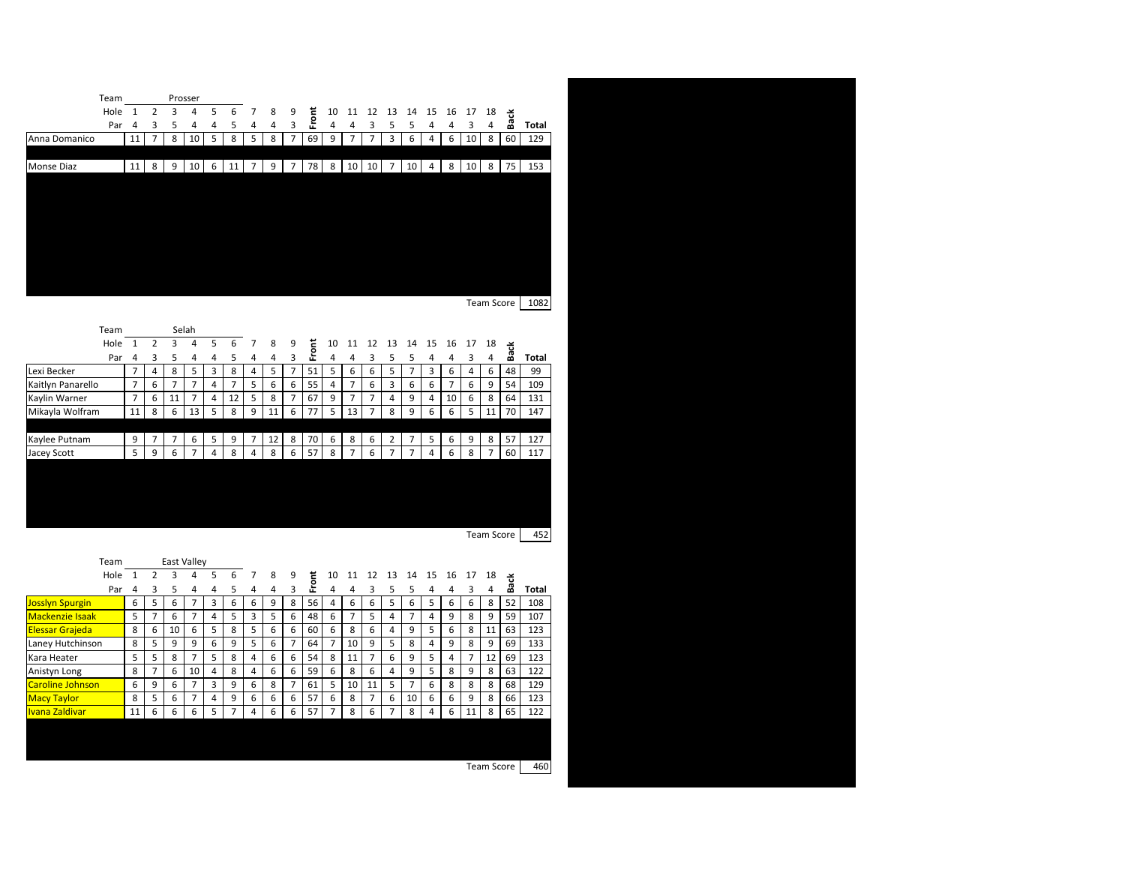|               | Team |    |   |   | Prosser |   |    |                 |   |                |    |    |                 |                 |             |    |                |    |                     |    |    |       |
|---------------|------|----|---|---|---------|---|----|-----------------|---|----------------|----|----|-----------------|-----------------|-------------|----|----------------|----|---------------------|----|----|-------|
|               | Hole |    |   | 3 | 4       | 5 | 6  |                 | 8 | 9              | Έ  | 10 | -11             | 12              | 13          | 14 | 15             | 16 | 17                  | 18 | さ  |       |
|               | Par  | 4  | 3 | 5 | 4       | 4 | 5  | 4               | 4 | 3              | ՟  | 4  | 4               | 3               | ,           | 5  | 4              | 4  | $\overline{ }$<br>≺ | 4  | ക് | Total |
| Anna Domanico |      | 11 | 7 | 8 | 10      | 5 | 8  | 5               | 8 | 7              | 69 | 9  | $\overline{7}$  | ⇁               | 3           | 6  | 4              | 6  | 10 <sup>1</sup>     | 8  | 60 | 129   |
|               |      |    |   |   |         |   |    |                 |   |                |    |    |                 |                 |             |    |                |    |                     |    |    |       |
| Monse Diaz    |      | 11 | 8 | 9 | 10      | 6 | 11 | $7\overline{ }$ | 9 | $\overline{7}$ | 78 | 8  | 10 <sup>1</sup> | 10 <sup>1</sup> | $7^{\circ}$ | 10 | $\overline{4}$ | 8  | 10 <sup>1</sup>     | 8  | 75 | 153   |
|               |      |    |   |   |         |   |    |                 |   |                |    |    |                 |                 |             |    |                |    |                     |    |    |       |
|               |      |    |   |   |         |   |    |                 |   |                |    |    |                 |                 |             |    |                |    |                     |    |    |       |
|               |      |    |   |   |         |   |    |                 |   |                |    |    |                 |                 |             |    |                |    |                     |    |    |       |
|               |      |    |   |   |         |   |    |                 |   |                |    |    |                 |                 |             |    |                |    |                     |    |    |       |
|               |      |    |   |   |         |   |    |                 |   |                |    |    |                 |                 |             |    |                |    |                     |    |    |       |
|               |      |    |   |   |         |   |    |                 |   |                |    |    |                 |                 |             |    |                |    |                     |    |    |       |
|               |      |    |   |   |         |   |    |                 |   |                |    |    |                 |                 |             |    |                |    |                     |    |    |       |
|               |      |    |   |   |         |   |    |                 |   |                |    |    |                 |                 |             |    |                |    |                     |    |    |       |

Team Score 1082

| Team              |                |                |                | Selah                    |    |                |                |    |                |         |    |                |                |                          |                          |    |                 |                |                |    |       |  |
|-------------------|----------------|----------------|----------------|--------------------------|----|----------------|----------------|----|----------------|---------|----|----------------|----------------|--------------------------|--------------------------|----|-----------------|----------------|----------------|----|-------|--|
| Hole              |                | $\mathcal{P}$  |                | 4                        | -5 | 6              | $\overline{7}$ | 8  | 9              | ᠊᠊      | 10 | 11             | 12             | 13                       | 14                       | 15 | 16              | 17             | 18             | さ  |       |  |
| Par               | 4              |                |                |                          | 4  |                | 4              | 4  | 3              | ۰<br>Æ. | 4  |                |                |                          |                          | 4  | 4               | ς              | 4              | 盗  | Total |  |
| Lexi Becker       | $\overline{7}$ | 4              | 8              | 5                        | 3  | 8              | 4              | 5  | $\overline{7}$ | 51      | 5  | 6              | 6              | 5                        |                          | 3  | 6               | 4              | 6              | 48 | 99    |  |
| Kaitlyn Panarello | $\overline{7}$ | 6              | $\overline{7}$ | $\overline{7}$           | 4  | $\overline{ }$ | 5              | 6  | 6              | 55      | 4  | $\overline{7}$ | 6              | 3                        | 6                        | 6  | $\overline{7}$  | 6              | 9              | 54 | 109   |  |
| Kaylin Warner     | $\overline{7}$ | 6              | 11             | $\overline{\phantom{a}}$ | 4  | 12             | 5              | 8  | $\overline{7}$ | 67      | 9  | $\overline{7}$ | $\overline{7}$ | 4                        | 9                        | 4  | 10 <sup>1</sup> | 6              | 8              | 64 | 131   |  |
| Mikayla Wolfram   | 11             | 8              | 6              | 13                       | 5  | 8              | 9              | 11 | 6              | 77      | 5  | 13             | $\overline{7}$ | 8                        | 9                        | 6  | 6               | 5 <sub>1</sub> | 11             | 70 | 147   |  |
|                   |                |                |                |                          |    |                |                |    |                |         |    |                |                |                          |                          |    |                 |                |                |    |       |  |
| Kaylee Putnam     | 9              | $\overline{ }$ | $\overline{7}$ | 6                        | 5  | 9              | $\overline{7}$ | 12 | 8              | 70      | 6  | 8              | 6              | $\overline{2}$           | $\overline{7}$           | 5  | 6               | 9              | 8              | 57 | 127   |  |
| Jacey Scott       | 5 <sub>1</sub> | 9              | 6              | ⇁                        | 4  | 8              | 4              | 8  | 6              | 57      | 8  | $\overline{7}$ | 6              | $\overline{\phantom{a}}$ | $\overline{\phantom{a}}$ | 4  | 6               | 8              | $\overline{7}$ | 60 | 117   |  |
|                   |                |                |                |                          |    |                |                |    |                |         |    |                |                |                          |                          |    |                 |                |                |    |       |  |
|                   |                |                |                |                          |    |                |                |    |                |         |    |                |                |                          |                          |    |                 |                |                |    |       |  |
|                   |                |                |                |                          |    |                |                |    |                |         |    |                |                |                          |                          |    |                 |                |                |    |       |  |

Team Score 452

|                         | Team |    |                          | <b>East Valley</b> |                          |   |   |   |   |                |    |                          |                |                |    |                |    |    |                          |    |    |       |  |
|-------------------------|------|----|--------------------------|--------------------|--------------------------|---|---|---|---|----------------|----|--------------------------|----------------|----------------|----|----------------|----|----|--------------------------|----|----|-------|--|
|                         | Hole |    |                          | 3                  | 4                        | 5 | 6 |   | 8 | 9              | E  | 10                       | 11             | 12             | 13 | 14             | 15 | 16 | 17                       | 18 | さ  |       |  |
|                         | Par  | 4  |                          | 5                  | 4                        | 4 |   | 4 | 4 | З              | ՟  | 4                        | Λ              |                |    |                |    | 4  |                          | 4  | జ  | Total |  |
| Josslyn Spurgin         |      | 6  | 5.                       | 6                  | ⇁                        | 3 | 6 | 6 | 9 | 8              | 56 | 4                        | 6              | 6              | 5  | 6              | 5  | 6  | 6                        | 8  | 52 | 108   |  |
| <b>Mackenzie Isaak</b>  |      | 5  | $\overline{\phantom{a}}$ | 6                  | $\overline{\phantom{a}}$ | 4 | 5 | 3 | 5 | 6              | 48 | 6                        | $\overline{7}$ | 5              | 4  | $\overline{ }$ | 4  | 9  | 8                        | 9  | 59 | 107   |  |
| <b>Elessar Grajeda</b>  |      | 8  | 6                        | 10                 | 6                        | 5 | 8 | 5 | 6 | 6              | 60 | 6                        | 8              | 6              | 4  | 9              | 5  | 6  | 8                        | 11 | 63 | 123   |  |
| Laney Hutchinson        |      | 8  | 5                        | 9                  | 9                        | 6 | 9 | 5 | 6 | $\overline{ }$ | 64 | $\overline{7}$           | 10             | 9              | 5  | 8              | 4  | 9  | 8                        | 9  | 69 | 133   |  |
| Kara Heater             |      | 5  | 5                        | 8                  | $\overline{ }$           | 5 | 8 | 4 | 6 | 6              | 54 | 8                        | 11             | $\overline{ }$ | 6  | 9              | 5  | 4  | $\overline{\phantom{a}}$ | 12 | 69 | 123   |  |
| Anistyn Long            |      | 8  | ⇁                        | 6                  | 10 <sup>1</sup>          | 4 | 8 | 4 | 6 | 6              | 59 | 6                        | 8              | 6              | 4  | 9              | 5. | 8  | 9                        | 8  | 63 | 122   |  |
| <b>Caroline Johnson</b> |      | 6  | 9                        | 6                  | $\overline{ }$           | 3 | 9 | 6 | 8 | $\overline{ }$ | 61 | 5                        | 10             | 11             | 5  | 7              | 6  | 8  | 8                        | 8  | 68 | 129   |  |
| <b>Macy Taylor</b>      |      | 8  | 5.                       | 6                  | $\overline{\phantom{a}}$ | 4 | 9 | 6 | 6 | 6              | 57 | 6                        | 8              | 7              | 6  | 10             | 6  | 6  | 9                        | 8  | 66 | 123   |  |
| Ivana Zaldivar          |      | 11 | 6                        | 6                  | 6                        | 5 | ⇁ | 4 | 6 | 6              | 57 | $\overline{\phantom{a}}$ | 8              | 6              | 7  | 8              | 4  | 6  | 11                       | 8  | 65 | 122   |  |
|                         |      |    |                          |                    |                          |   |   |   |   |                |    |                          |                |                |    |                |    |    |                          |    |    |       |  |
|                         |      |    |                          |                    |                          |   |   |   |   |                |    |                          |                |                |    |                |    |    |                          |    |    |       |  |
|                         |      |    |                          |                    |                          |   |   |   |   |                |    |                          |                |                |    |                |    |    |                          |    |    |       |  |

Team Score 460